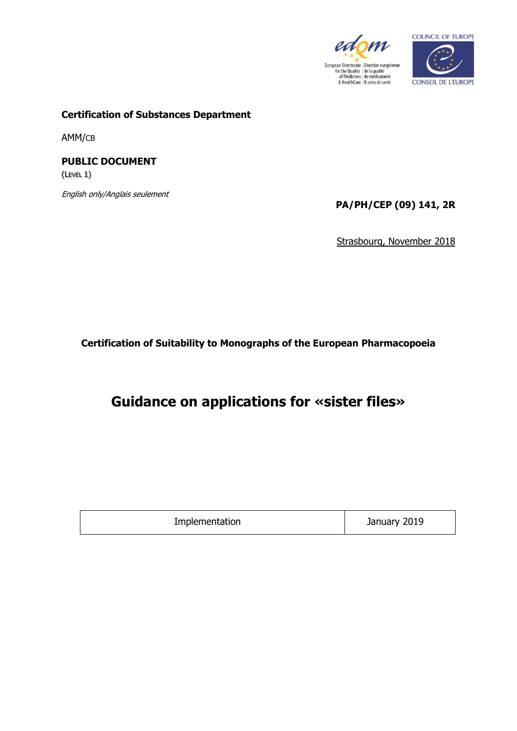



**Certification of Substances Department**

AMM/CB

**PUBLIC DOCUMENT** (LEVEL 1)

English only/Anglais seulement

**PA/PH/CEP (09) 141, 2R**

Strasbourg, November 2018

**Certification of Suitability to Monographs of the European Pharmacopoeia**

**Guidance on applications for «sister files»**

| Implementation | January 2019 |
|----------------|--------------|
|----------------|--------------|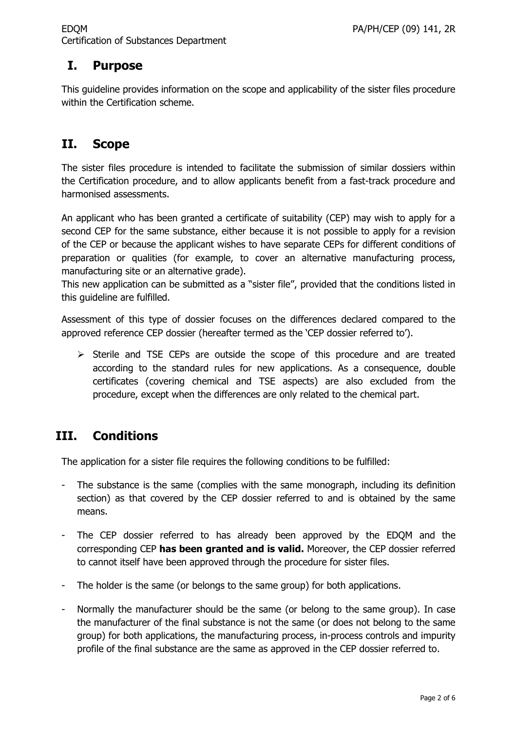## **I. Purpose**

This guideline provides information on the scope and applicability of the sister files procedure within the Certification scheme.

## **II. Scope**

The sister files procedure is intended to facilitate the submission of similar dossiers within the Certification procedure, and to allow applicants benefit from a fast-track procedure and harmonised assessments.

An applicant who has been granted a certificate of suitability (CEP) may wish to apply for a second CEP for the same substance, either because it is not possible to apply for a revision of the CEP or because the applicant wishes to have separate CEPs for different conditions of preparation or qualities (for example, to cover an alternative manufacturing process, manufacturing site or an alternative grade).

This new application can be submitted as a "sister file", provided that the conditions listed in this guideline are fulfilled.

Assessment of this type of dossier focuses on the differences declared compared to the approved reference CEP dossier (hereafter termed as the 'CEP dossier referred to').

 $\triangleright$  Sterile and TSE CEPs are outside the scope of this procedure and are treated according to the standard rules for new applications. As a consequence, double certificates (covering chemical and TSE aspects) are also excluded from the procedure, except when the differences are only related to the chemical part.

## **III. Conditions**

The application for a sister file requires the following conditions to be fulfilled:

- The substance is the same (complies with the same monograph, including its definition section) as that covered by the CEP dossier referred to and is obtained by the same means.
- The CEP dossier referred to has already been approved by the EDQM and the corresponding CEP **has been granted and is valid.** Moreover, the CEP dossier referred to cannot itself have been approved through the procedure for sister files.
- The holder is the same (or belongs to the same group) for both applications.
- Normally the manufacturer should be the same (or belong to the same group). In case the manufacturer of the final substance is not the same (or does not belong to the same group) for both applications, the manufacturing process, in-process controls and impurity profile of the final substance are the same as approved in the CEP dossier referred to.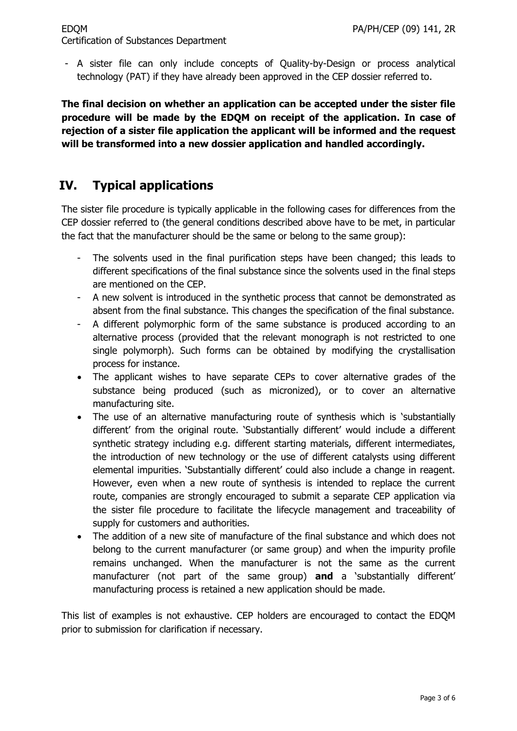#### EDQM PA/PH/CEP (09) 141, 2R Certification of Substances Department

- A sister file can only include concepts of Quality-by-Design or process analytical technology (PAT) if they have already been approved in the CEP dossier referred to.

**The final decision on whether an application can be accepted under the sister file procedure will be made by the EDQM on receipt of the application. In case of rejection of a sister file application the applicant will be informed and the request will be transformed into a new dossier application and handled accordingly.**

# **IV. Typical applications**

The sister file procedure is typically applicable in the following cases for differences from the CEP dossier referred to (the general conditions described above have to be met, in particular the fact that the manufacturer should be the same or belong to the same group):

- The solvents used in the final purification steps have been changed; this leads to different specifications of the final substance since the solvents used in the final steps are mentioned on the CEP.
- A new solvent is introduced in the synthetic process that cannot be demonstrated as absent from the final substance. This changes the specification of the final substance.
- A different polymorphic form of the same substance is produced according to an alternative process (provided that the relevant monograph is not restricted to one single polymorph). Such forms can be obtained by modifying the crystallisation process for instance.
- The applicant wishes to have separate CEPs to cover alternative grades of the substance being produced (such as micronized), or to cover an alternative manufacturing site.
- The use of an alternative manufacturing route of synthesis which is 'substantially different' from the original route. 'Substantially different' would include a different synthetic strategy including e.g. different starting materials, different intermediates, the introduction of new technology or the use of different catalysts using different elemental impurities. 'Substantially different' could also include a change in reagent. However, even when a new route of synthesis is intended to replace the current route, companies are strongly encouraged to submit a separate CEP application via the sister file procedure to facilitate the lifecycle management and traceability of supply for customers and authorities.
- The addition of a new site of manufacture of the final substance and which does not belong to the current manufacturer (or same group) and when the impurity profile remains unchanged. When the manufacturer is not the same as the current manufacturer (not part of the same group) **and** a 'substantially different' manufacturing process is retained a new application should be made.

This list of examples is not exhaustive. CEP holders are encouraged to contact the EDQM prior to submission for clarification if necessary.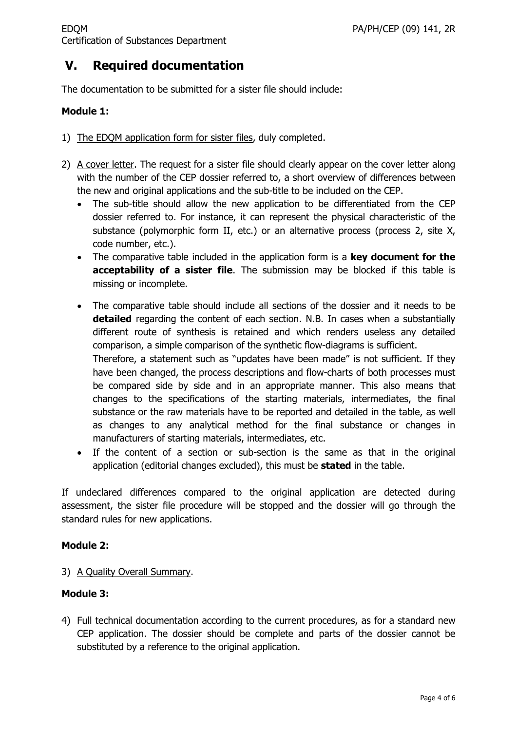# **V. Required documentation**

The documentation to be submitted for a sister file should include:

#### **Module 1:**

- 1) The EDQM application form for sister files, duly completed.
- 2) A cover letter. The request for a sister file should clearly appear on the cover letter along with the number of the CEP dossier referred to, a short overview of differences between the new and original applications and the sub-title to be included on the CEP.
	- The sub-title should allow the new application to be differentiated from the CEP dossier referred to. For instance, it can represent the physical characteristic of the substance (polymorphic form II, etc.) or an alternative process (process 2, site X, code number, etc.).
	- The comparative table included in the application form is a **key document for the acceptability of a sister file**. The submission may be blocked if this table is missing or incomplete.
	- The comparative table should include all sections of the dossier and it needs to be **detailed** regarding the content of each section. N.B. In cases when a substantially different route of synthesis is retained and which renders useless any detailed comparison, a simple comparison of the synthetic flow-diagrams is sufficient. Therefore, a statement such as "updates have been made" is not sufficient. If they have been changed, the process descriptions and flow-charts of both processes must be compared side by side and in an appropriate manner. This also means that changes to the specifications of the starting materials, intermediates, the final substance or the raw materials have to be reported and detailed in the table, as well as changes to any analytical method for the final substance or changes in manufacturers of starting materials, intermediates, etc.
	- If the content of a section or sub-section is the same as that in the original application (editorial changes excluded), this must be **stated** in the table.

If undeclared differences compared to the original application are detected during assessment, the sister file procedure will be stopped and the dossier will go through the standard rules for new applications.

## **Module 2:**

3) A Quality Overall Summary.

## **Module 3:**

4) Full technical documentation according to the current procedures, as for a standard new CEP application. The dossier should be complete and parts of the dossier cannot be substituted by a reference to the original application.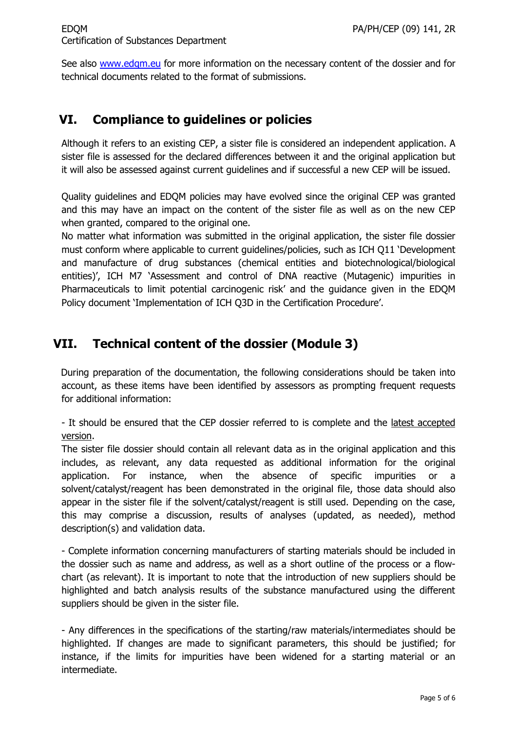See also [www.edqm.eu](http://www.edqm.eu/) for more information on the necessary content of the dossier and for technical documents related to the format of submissions.

## **VI. Compliance to guidelines or policies**

Although it refers to an existing CEP, a sister file is considered an independent application. A sister file is assessed for the declared differences between it and the original application but it will also be assessed against current guidelines and if successful a new CEP will be issued.

Quality guidelines and EDQM policies may have evolved since the original CEP was granted and this may have an impact on the content of the sister file as well as on the new CEP when granted, compared to the original one.

No matter what information was submitted in the original application, the sister file dossier must conform where applicable to current guidelines/policies, such as ICH Q11 'Development and manufacture of drug substances (chemical entities and biotechnological/biological entities)', ICH M7 'Assessment and control of DNA reactive (Mutagenic) impurities in Pharmaceuticals to limit potential carcinogenic risk' and the guidance given in the EDQM Policy document 'Implementation of ICH Q3D in the Certification Procedure'.

## **VII. Technical content of the dossier (Module 3)**

During preparation of the documentation, the following considerations should be taken into account, as these items have been identified by assessors as prompting frequent requests for additional information:

- It should be ensured that the CEP dossier referred to is complete and the latest accepted version.

The sister file dossier should contain all relevant data as in the original application and this includes, as relevant, any data requested as additional information for the original application. For instance, when the absence of specific impurities or a solvent/catalyst/reagent has been demonstrated in the original file, those data should also appear in the sister file if the solvent/catalyst/reagent is still used. Depending on the case, this may comprise a discussion, results of analyses (updated, as needed), method description(s) and validation data.

- Complete information concerning manufacturers of starting materials should be included in the dossier such as name and address, as well as a short outline of the process or a flowchart (as relevant). It is important to note that the introduction of new suppliers should be highlighted and batch analysis results of the substance manufactured using the different suppliers should be given in the sister file.

- Any differences in the specifications of the starting/raw materials/intermediates should be highlighted. If changes are made to significant parameters, this should be justified; for instance, if the limits for impurities have been widened for a starting material or an intermediate.